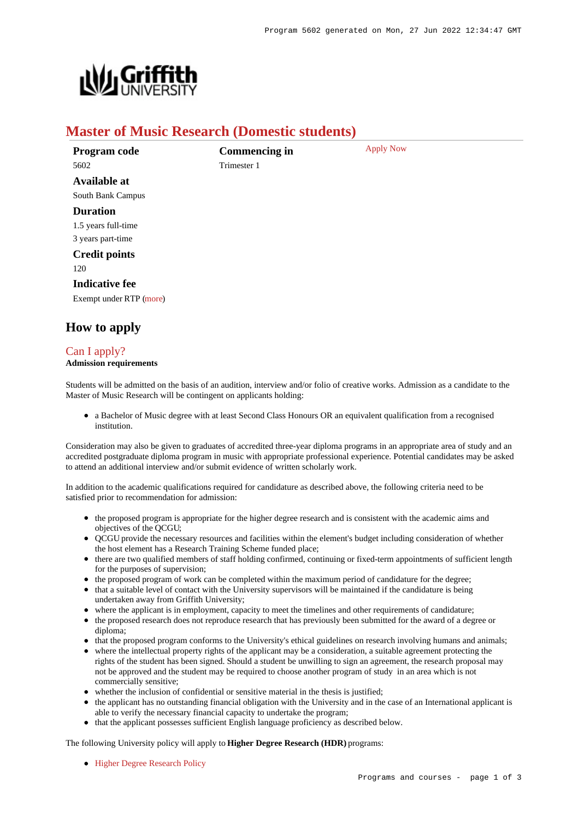

# **Master of Music Research (Domestic students)**

| Program code            | <b>Commencing in</b> | <b>Apply Now</b> |
|-------------------------|----------------------|------------------|
| 5602                    | Trimester 1          |                  |
| <b>Available at</b>     |                      |                  |
| South Bank Campus       |                      |                  |
| <b>Duration</b>         |                      |                  |
| 1.5 years full-time     |                      |                  |
| 3 years part-time       |                      |                  |
| <b>Credit points</b>    |                      |                  |
| 120                     |                      |                  |
| <b>Indicative fee</b>   |                      |                  |
| Exempt under RTP (more) |                      |                  |
|                         |                      |                  |

# **How to apply**

# [Can I apply?](https://www148.griffith.edu.au/programs-courses/Program/5602/HowToApply/Domestic#can-i-apply)

### **Admission requirements**

Students will be admitted on the basis of an audition, interview and/or folio of creative works. Admission as a candidate to the Master of Music Research will be contingent on applicants holding:

a Bachelor of Music degree with at least Second Class Honours OR an equivalent qualification from a recognised institution.

Consideration may also be given to graduates of accredited three-year diploma programs in an appropriate area of study and an accredited postgraduate diploma program in music with appropriate professional experience. Potential candidates may be asked to attend an additional interview and/or submit evidence of written scholarly work.

In addition to the academic qualifications required for candidature as described above, the following criteria need to be satisfied prior to recommendation for admission:

- the proposed program is appropriate for the higher degree research and is consistent with the academic aims and objectives of the QCGU;
- OCGU provide the necessary resources and facilities within the element's budget including consideration of whether the host element has a Research Training Scheme funded place;
- there are two qualified members of staff holding confirmed, continuing or fixed-term appointments of sufficient length for the purposes of supervision;
- the proposed program of work can be completed within the maximum period of candidature for the degree;
- that a suitable level of contact with the University supervisors will be maintained if the candidature is being undertaken away from Griffith University;
- where the applicant is in employment, capacity to meet the timelines and other requirements of candidature;
- the proposed research does not reproduce research that has previously been submitted for the award of a degree or diploma;
- that the proposed program conforms to the University's ethical guidelines on research involving humans and animals;
- where the intellectual property rights of the applicant may be a consideration, a suitable agreement protecting the rights of the student has been signed. Should a student be unwilling to sign an agreement, the research proposal may not be approved and the student may be required to choose another program of study in an area which is not commercially sensitive;
- whether the inclusion of confidential or sensitive material in the thesis is justified;
- the applicant has no outstanding financial obligation with the University and in the case of an International applicant is able to verify the necessary financial capacity to undertake the program;
- that the applicant possesses sufficient English language proficiency as described below.

The following University policy will apply to **Higher Degree Research (HDR)** programs:

• [Higher Degree Research Policy](http://policies.griffith.edu.au/pdf/Higher Degree Research Policy.pdf)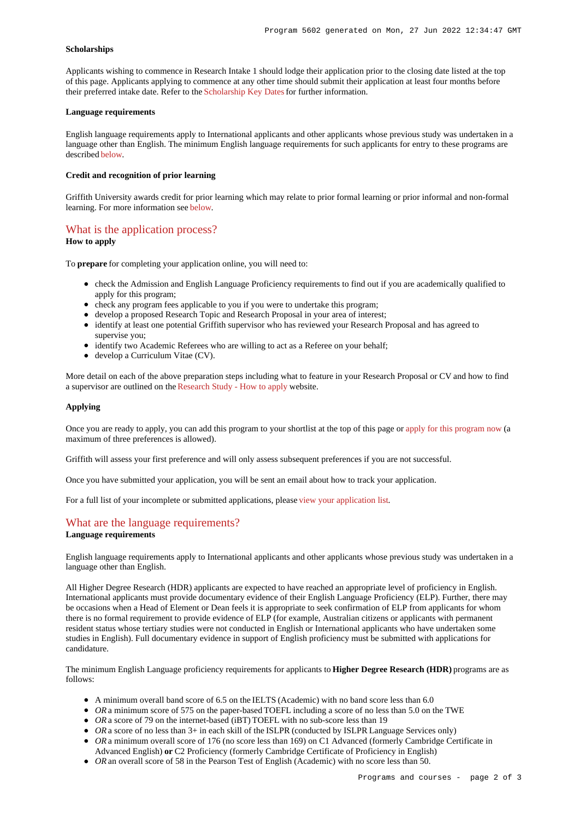### **Scholarships**

Applicants wishing to commence in Research Intake 1 should lodge their application prior to the closing date listed at the top of this page. Applicants applying to commence at any other time should submit their application at least four months before their preferred intake date. Refer to the [Scholarship Key Dates](https://www.griffith.edu.au/research-study/scholarships#keydates) for further information.

### **Language requirements**

English language requirements apply to International applicants and other applicants whose previous study was undertaken in a language other than English. The minimum English language requirements for such applicants for entry to these programs are described [below](https://www148.griffith.edu.au/programs-courses/Program/5602/HowToApply/Domestic#language).

### **Credit and recognition of prior learning**

Griffith University awards credit for prior learning which may relate to prior formal learning or prior informal and non-formal learning. For more information see [below](https://www148.griffith.edu.au/programs-courses/Program/5602/HowToApply/Domestic#credit).

## [What is the application process?](https://www148.griffith.edu.au/programs-courses/Program/5602/HowToApply/Domestic#process)

### **How to apply**

To **prepare** for completing your application online, you will need to:

- check the Admission and English Language Proficiency requirements to find out if you are academically qualified to apply for this program;
- check any program fees applicable to you if you were to undertake this program;
- develop a proposed Research Topic and Research Proposal in your area of interest;
- identify at least one potential Griffith supervisor who has reviewed your Research Proposal and has agreed to supervise you;
- identify two Academic Referees who are willing to act as a Referee on your behalf;
- develop a Curriculum Vitae (CV).

More detail on each of the above preparation steps including what to feature in your Research Proposal or CV and how to find a supervisor are outlined on the [Research Study - How to apply](https://www.griffith.edu.au/research-study/apply) website.

#### **Applying**

Once you are ready to apply, you can add this program to your shortlist at the top of this page or [apply for this program now](https://www148.griffith.edu.au/online-admissions/Start/Index/DIRECT_HDR?applicationTemplateType=ONRSCH) (a maximum of three preferences is allowed).

Griffith will assess your first preference and will only assess subsequent preferences if you are not successful.

Once you have submitted your application, you will be sent an email about how to track your application.

For a full list of your incomplete or submitted applications, please [view your application list](https://www148.griffith.edu.au/online-admissions/shortlist/applications).

## [What are the language requirements?](https://www148.griffith.edu.au/programs-courses/Program/5602/HowToApply/Domestic#language)

### **Language requirements**

English language requirements apply to International applicants and other applicants whose previous study was undertaken in a language other than English.

All Higher Degree Research (HDR) applicants are expected to have reached an appropriate level of proficiency in English. International applicants must provide documentary evidence of their English Language Proficiency (ELP). Further, there may be occasions when a Head of Element or Dean feels it is appropriate to seek confirmation of ELP from applicants for whom there is no formal requirement to provide evidence of ELP (for example, Australian citizens or applicants with permanent resident status whose tertiary studies were not conducted in English or International applicants who have undertaken some studies in English). Full documentary evidence in support of English proficiency must be submitted with applications for candidature.

The minimum English Language proficiency requirements for applicants to **Higher Degree Research (HDR)** programs are as follows:

- A minimum overall band score of 6.5 on the IELTS (Academic) with no band score less than 6.0
- OR a minimum score of 575 on the paper-based TOEFL including a score of no less than 5.0 on the TWE
- *OR* a score of 79 on the internet-based (iBT) TOEFL with no sub-score less than 19
- OR a score of no less than 3+ in each skill of the ISLPR (conducted by ISLPR Language Services only)
- OR a minimum overall score of 176 (no score less than 169) on C1 Advanced (formerly Cambridge Certificate in Advanced English) **or** C2 Proficiency (formerly Cambridge Certificate of Proficiency in English)
- OR an overall score of 58 in the Pearson Test of English (Academic) with no score less than 50.